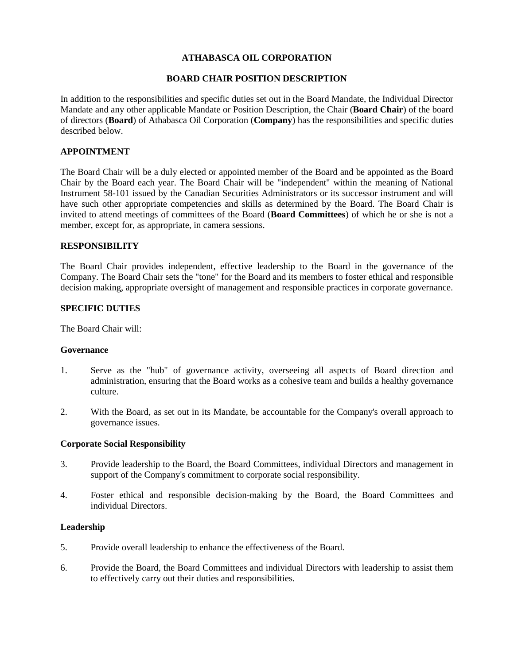# **ATHABASCA OIL CORPORATION**

# **BOARD CHAIR POSITION DESCRIPTION**

In addition to the responsibilities and specific duties set out in the Board Mandate, the Individual Director Mandate and any other applicable Mandate or Position Description, the Chair (**Board Chair**) of the board of directors (**Board**) of Athabasca Oil Corporation (**Company**) has the responsibilities and specific duties described below.

# **APPOINTMENT**

The Board Chair will be a duly elected or appointed member of the Board and be appointed as the Board Chair by the Board each year. The Board Chair will be "independent" within the meaning of National Instrument 58-101 issued by the Canadian Securities Administrators or its successor instrument and will have such other appropriate competencies and skills as determined by the Board. The Board Chair is invited to attend meetings of committees of the Board (**Board Committees**) of which he or she is not a member, except for, as appropriate, in camera sessions.

## **RESPONSIBILITY**

The Board Chair provides independent, effective leadership to the Board in the governance of the Company. The Board Chair sets the "tone" for the Board and its members to foster ethical and responsible decision making, appropriate oversight of management and responsible practices in corporate governance.

# **SPECIFIC DUTIES**

The Board Chair will:

### **Governance**

- 1. Serve as the "hub" of governance activity, overseeing all aspects of Board direction and administration, ensuring that the Board works as a cohesive team and builds a healthy governance culture.
- 2. With the Board, as set out in its Mandate, be accountable for the Company's overall approach to governance issues.

### **Corporate Social Responsibility**

- 3. Provide leadership to the Board, the Board Committees, individual Directors and management in support of the Company's commitment to corporate social responsibility.
- 4. Foster ethical and responsible decision-making by the Board, the Board Committees and individual Directors.

### **Leadership**

- 5. Provide overall leadership to enhance the effectiveness of the Board.
- 6. Provide the Board, the Board Committees and individual Directors with leadership to assist them to effectively carry out their duties and responsibilities.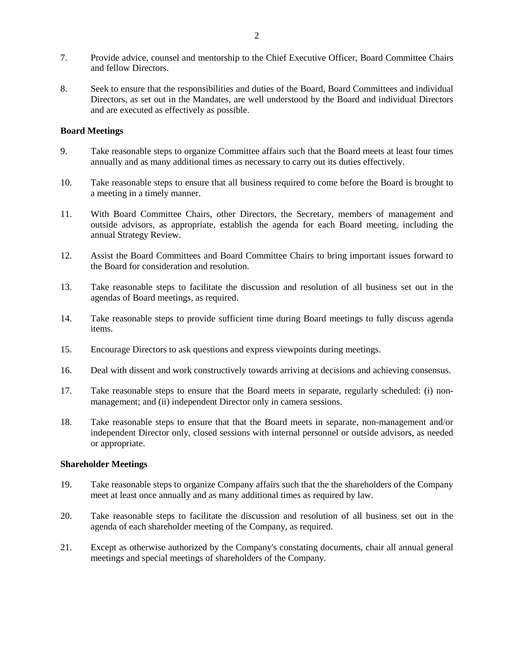- 7. Provide advice, counsel and mentorship to the Chief Executive Officer, Board Committee Chairs and fellow Directors.
- 8. Seek to ensure that the responsibilities and duties of the Board, Board Committees and individual Directors, as set out in the Mandates, are well understood by the Board and individual Directors and are executed as effectively as possible.

### **Board Meetings**

- 9. Take reasonable steps to organize Committee affairs such that the Board meets at least four times annually and as many additional times as necessary to carry out its duties effectively.
- 10. Take reasonable steps to ensure that all business required to come before the Board is brought to a meeting in a timely manner.
- 11. With Board Committee Chairs, other Directors, the Secretary, members of management and outside advisors, as appropriate, establish the agenda for each Board meeting, including the annual Strategy Review.
- 12. Assist the Board Committees and Board Committee Chairs to bring important issues forward to the Board for consideration and resolution.
- 13. Take reasonable steps to facilitate the discussion and resolution of all business set out in the agendas of Board meetings, as required.
- 14. Take reasonable steps to provide sufficient time during Board meetings to fully discuss agenda items.
- 15. Encourage Directors to ask questions and express viewpoints during meetings.
- 16. Deal with dissent and work constructively towards arriving at decisions and achieving consensus.
- 17. Take reasonable steps to ensure that the Board meets in separate, regularly scheduled: (i) nonmanagement; and (ii) independent Director only in camera sessions.
- 18. Take reasonable steps to ensure that that the Board meets in separate, non-management and/or independent Director only, closed sessions with internal personnel or outside advisors, as needed or appropriate.

### **Shareholder Meetings**

- 19. Take reasonable steps to organize Company affairs such that the the shareholders of the Company meet at least once annually and as many additional times as required by law.
- 20. Take reasonable steps to facilitate the discussion and resolution of all business set out in the agenda of each shareholder meeting of the Company, as required.
- 21. Except as otherwise authorized by the Company's constating documents, chair all annual general meetings and special meetings of shareholders of the Company.